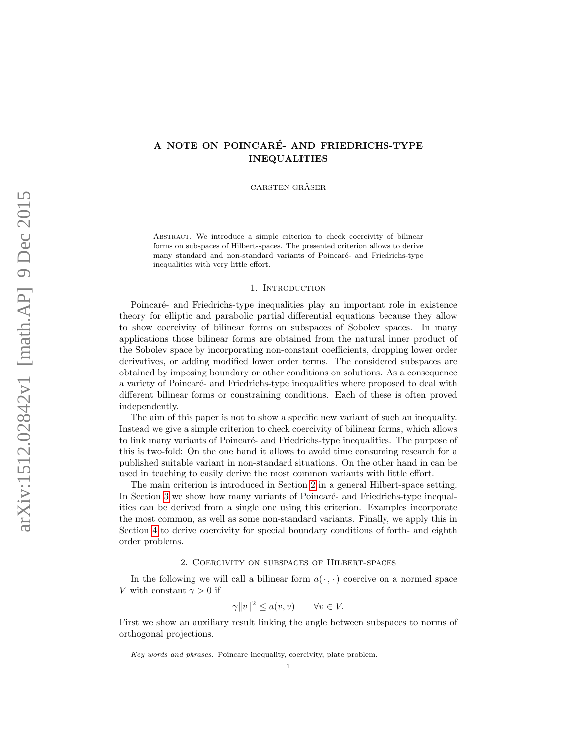# A NOTE ON POINCARE- AND FRIEDRICHS-TYPE ´ INEQUALITIES

CARSTEN GRÄSER

ABSTRACT. We introduce a simple criterion to check coercivity of bilinear forms on subspaces of Hilbert-spaces. The presented criterion allows to derive many standard and non-standard variants of Poincaré- and Friedrichs-type inequalities with very little effort.

#### 1. INTRODUCTION

Poincaré- and Friedrichs-type inequalities play an important role in existence theory for elliptic and parabolic partial differential equations because they allow to show coercivity of bilinear forms on subspaces of Sobolev spaces. In many applications those bilinear forms are obtained from the natural inner product of the Sobolev space by incorporating non-constant coefficients, dropping lower order derivatives, or adding modified lower order terms. The considered subspaces are obtained by imposing boundary or other conditions on solutions. As a consequence a variety of Poincaré- and Friedrichs-type inequalities where proposed to deal with different bilinear forms or constraining conditions. Each of these is often proved independently.

The aim of this paper is not to show a specific new variant of such an inequality. Instead we give a simple criterion to check coercivity of bilinear forms, which allows to link many variants of Poincaré- and Friedrichs-type inequalities. The purpose of this is two-fold: On the one hand it allows to avoid time consuming research for a published suitable variant in non-standard situations. On the other hand in can be used in teaching to easily derive the most common variants with little effort.

The main criterion is introduced in Section [2](#page-0-0) in a general Hilbert-space setting. In Section [3](#page-2-0) we show how many variants of Poincaré- and Friedrichs-type inequalities can be derived from a single one using this criterion. Examples incorporate the most common, as well as some non-standard variants. Finally, we apply this in Section [4](#page-4-0) to derive coercivity for special boundary conditions of forth- and eighth order problems.

#### 2. Coercivity on subspaces of Hilbert-spaces

<span id="page-0-0"></span>In the following we will call a bilinear form  $a(\cdot, \cdot)$  coercive on a normed space V with constant  $\gamma > 0$  if

$$
\gamma ||v||^2 \le a(v, v) \qquad \forall v \in V.
$$

First we show an auxiliary result linking the angle between subspaces to norms of orthogonal projections.

Key words and phrases. Poincare inequality, coercivity, plate problem.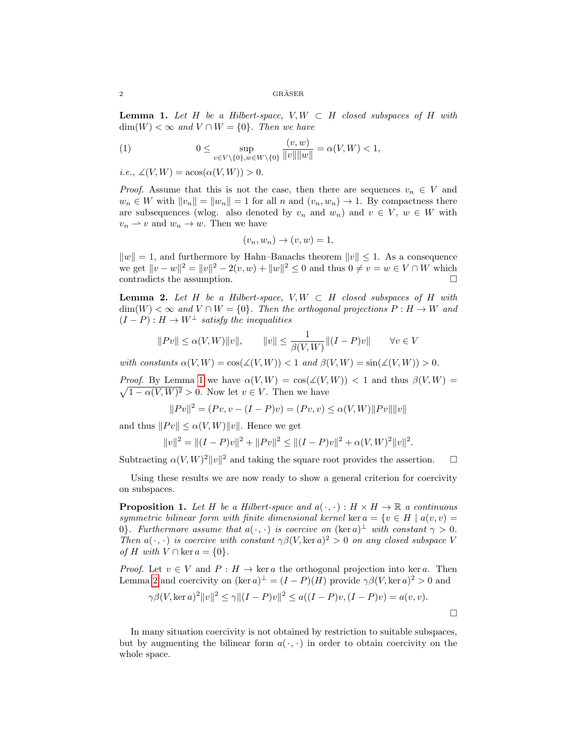<span id="page-1-0"></span>**Lemma 1.** Let H be a Hilbert-space,  $V, W \subset H$  closed subspaces of H with  $\dim(W) < \infty$  and  $V \cap W = \{0\}$ . Then we have

(1) 
$$
0 \leq \sup_{v \in V \setminus \{0\}, w \in W \setminus \{0\}} \frac{(v, w)}{\|v\| \|w\|} = \alpha(V, W) < 1,
$$

i.e.,  $\angle(V, W) = \arccos(\alpha(V, W)) > 0.$ 

*Proof.* Assume that this is not the case, then there are sequences  $v_n \in V$  and  $w_n \in W$  with  $||v_n|| = ||w_n|| = 1$  for all n and  $(v_n, w_n) \to 1$ . By compactness there are subsequences (wlog. also denoted by  $v_n$  and  $w_n$ ) and  $v \in V$ ,  $w \in W$  with  $v_n \rightharpoonup v$  and  $w_n \rightarrow w$ . Then we have

$$
(v_n, w_n) \to (v, w) = 1,
$$

 $||w|| = 1$ , and furthermore by Hahn–Banachs theorem  $||v|| \le 1$ . As a consequence we get  $||v - w||^2 = ||v||^2 - 2(v, w) + ||w||^2 \le 0$  and thus  $0 \neq v = w \in V \cap W$  which contradicts the assumption.  $\hfill \square$ 

<span id="page-1-1"></span>**Lemma 2.** Let H be a Hilbert-space,  $V, W \subset H$  closed subspaces of H with  $\dim(W) < \infty$  and  $V \cap W = \{0\}$ . Then the orthogonal projections  $P : H \to W$  and  $(I - P) : H \to W^{\perp}$  satisfy the inequalities

$$
||Pv|| \le \alpha(V,W)||v||, \qquad ||v|| \le \frac{1}{\beta(V,W)}||(I-P)v|| \qquad \forall v \in V
$$

with constants  $\alpha(V, W) = \cos(\measuredangle(V, W)) < 1$  and  $\beta(V, W) = \sin(\measuredangle(V, W)) > 0$ .

*Proof.* By Lemma [1](#page-1-0) we have  $\alpha(V, W) = \cos(\angle(V, W)) < 1$  and thus  $\beta(V, W) =$  $\sqrt{1-\alpha(V,W)^2} > 0$ . Now let  $v \in V$ . Then we have

$$
||Pv||2 = (Pv, v - (I - P)v) = (Pv, v) \le \alpha(V, W) ||Pv|| ||v||
$$

and thus  $||Pv|| \le \alpha(V, W)||v||$ . Hence we get

$$
||v||2 = ||(I - P)v||2 + ||Pv||2 \le ||(I - P)v||2 + \alpha(V, W)2 ||v||2.
$$

Subtracting  $\alpha(V,W)^2 ||v||^2$  and taking the square root provides the assertion.  $\square$ 

Using these results we are now ready to show a general criterion for coercivity on subspaces.

<span id="page-1-2"></span>**Proposition 1.** Let H be a Hilbert-space and  $a(\cdot, \cdot) : H \times H \to \mathbb{R}$  a continuous symmetric bilinear form with finite dimensional kernel ker  $a = \{v \in H \mid a(v, v) =$ 0. Furthermore assume that  $a(\cdot, \cdot)$  is coercive on  $(\ker a)^{\perp}$  with constant  $\gamma > 0$ . Then  $a(\cdot, \cdot)$  is coercive with constant  $\gamma \beta(V, \ker a)^2 > 0$  on any closed subspace V of H with  $V \cap \text{ker } a = \{0\}.$ 

*Proof.* Let  $v \in V$  and  $P : H \to \text{ker } a$  the orthogonal projection into ker a. Then Lemma [2](#page-1-1) and coercivity on  $(\ker a)^{\perp} = (I - P)(H)$  provide  $\gamma \beta(V, \ker a)^2 > 0$  and

$$
\gamma \beta(V, \ker a)^{2} ||v||^{2} \leq \gamma ||(I - P)v||^{2} \leq a((I - P)v, (I - P)v) = a(v, v).
$$

In many situation coercivity is not obtained by restriction to suitable subspaces, but by augmenting the bilinear form  $a(\cdot, \cdot)$  in order to obtain coercivity on the whole space.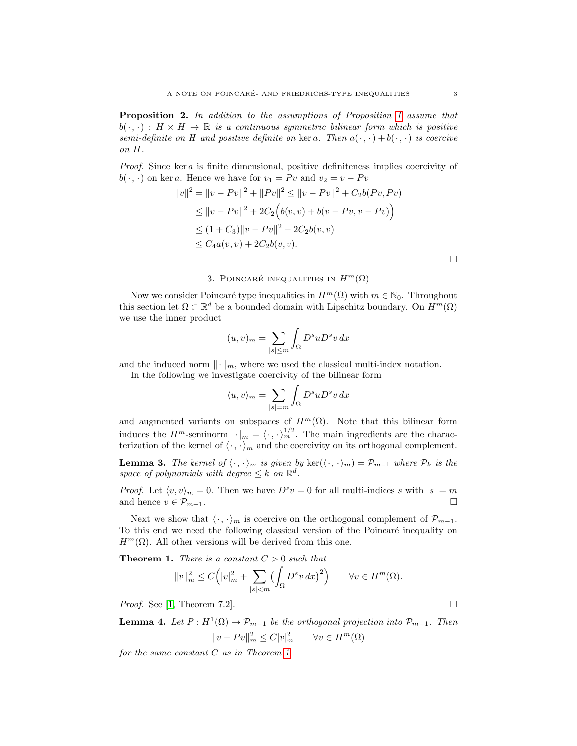<span id="page-2-4"></span>Proposition 2. In addition to the assumptions of Proposition [1](#page-1-2) assume that  $b(\cdot,\cdot): H \times H \to \mathbb{R}$  is a continuous symmetric bilinear form which is positive semi-definite on H and positive definite on ker a. Then  $a(\cdot, \cdot) + b(\cdot, \cdot)$  is coercive on H.

Proof. Since ker a is finite dimensional, positive definiteness implies coercivity of  $b(\cdot, \cdot)$  on ker a. Hence we have for  $v_1 = Pv$  and  $v_2 = v - Pv$ 

$$
||v||^2 = ||v - Pv||^2 + ||Pv||^2 \le ||v - Pv||^2 + C_2b(Pv, Pv)
$$
  
\n
$$
\le ||v - Pv||^2 + 2C_2(b(v, v) + b(v - Pv, v - Pv))
$$
  
\n
$$
\le (1 + C_3) ||v - Pv||^2 + 2C_2b(v, v)
$$
  
\n
$$
\le C_4a(v, v) + 2C_2b(v, v).
$$

 $\Box$ 

## 3. POINCARÉ INEQUALITIES IN  $H^m(\Omega)$

<span id="page-2-0"></span>Now we consider Poincaré type inequalities in  $H^m(\Omega)$  with  $m \in \mathbb{N}_0$ . Throughout this section let  $\Omega \subset \mathbb{R}^d$  be a bounded domain with Lipschitz boundary. On  $H^m(\Omega)$ we use the inner product

$$
(u,v)_m = \sum_{|s| \le m} \int_{\Omega} D^s u D^s v \, dx
$$

and the induced norm  $\lVert \cdot \rVert_m$ , where we used the classical multi-index notation.

In the following we investigate coercivity of the bilinear form

$$
\langle u,v\rangle_m=\sum_{|s|=m}\int_\Omega D^suD^sv\,dx
$$

and augmented variants on subspaces of  $H^m(\Omega)$ . Note that this bilinear form induces the  $H^m$ -seminorm  $|\cdot|_m = \langle \cdot, \cdot \rangle_m^{1/2}$ . The main ingredients are the characterization of the kernel of  $\langle \cdot, \cdot \rangle_m$  and the coercivity on its orthogonal complement.

<span id="page-2-2"></span>**Lemma 3.** The kernel of  $\langle \cdot, \cdot \rangle_m$  is given by ker $(\langle \cdot, \cdot \rangle_m) = \mathcal{P}_{m-1}$  where  $\mathcal{P}_k$  is the space of polynomials with degree  $\leq k$  on  $\mathbb{R}^d$ .

*Proof.* Let  $\langle v, v \rangle_m = 0$ . Then we have  $D^s v = 0$  for all multi-indices s with  $|s| = m$ and hence  $v \in \mathcal{P}_{m-1}$ .

Next we show that  $\langle \cdot, \cdot \rangle_m$  is coercive on the orthogonal complement of  $\mathcal{P}_{m-1}$ . To this end we need the following classical version of the Poincaré inequality on  $H^m(\Omega)$ . All other versions will be derived from this one.

<span id="page-2-1"></span>**Theorem 1.** There is a constant  $C > 0$  such that

$$
||v||_m^2 \le C\Big(|v|^2_m + \sum_{|s| < m} \left(\int_{\Omega} D^s v \, dx\right)^2\Big) \qquad \forall v \in H^m(\Omega).
$$

*Proof.* See [\[1,](#page-7-0) Theorem 7.2].

<span id="page-2-3"></span>**Lemma 4.** Let  $P: H^1(\Omega) \to \mathcal{P}_{m-1}$  be the orthogonal projection into  $\mathcal{P}_{m-1}$ . Then  $||v - Pv||_m^2 \leq C |v|_m^2 \qquad \forall v \in H^m(\Omega)$ 

for the same constant  $C$  as in Theorem [1.](#page-2-1)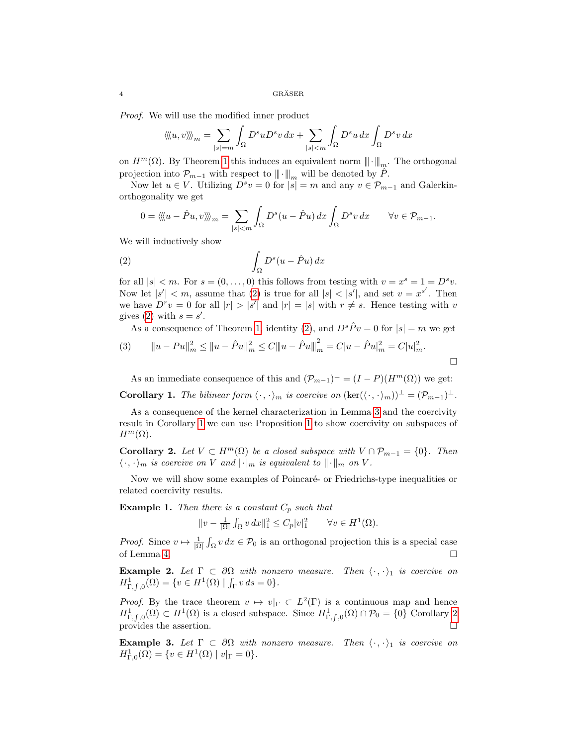Proof. We will use the modified inner product

$$
\langle\!\langle u,v\rangle\!\rangle\!\rangle_m = \sum_{|s|=m} \int_{\Omega} D^s u D^s v \, dx + \sum_{|s|
$$

on  $H^m(\Omega)$ . By Theorem [1](#page-2-1) this induces an equivalent norm  $\|\cdot\|_m$ . The orthogonal projection into  $\mathcal{P}_{m-1}$  with respect to  $\|\cdot\|_m$  will be denoted by P.

Now let  $u \in V$ . Utilizing  $D^s v = 0$  for  $|s| = m$  and any  $v \in \mathcal{P}_{m-1}$  and Galerkinorthogonality we get

$$
0 = \langle \langle u - \hat{P}u, v \rangle \rangle \rangle_m = \sum_{|s| < m} \int_{\Omega} D^s(u - \hat{P}u) \, dx \int_{\Omega} D^s v \, dx \qquad \forall v \in \mathcal{P}_{m-1}.
$$

We will inductively show

<span id="page-3-0"></span>(2) 
$$
\int_{\Omega} D^{s}(u - \hat{P}u) dx
$$

for all  $|s| < m$ . For  $s = (0, \ldots, 0)$  this follows from testing with  $v = x^s = 1 = D^s v$ . Now let  $|s'| < m$ , assume that [\(2\)](#page-3-0) is true for all  $|s| < |s'|$ , and set  $v = x^{s'}$ . Then we have  $D^r v = 0$  for all  $|r| > |s'|$  and  $|r| = |s|$  with  $r \neq s$ . Hence testing with v gives [\(2\)](#page-3-0) with  $s = s'$ .

As a consequence of Theorem [1,](#page-2-1) identity [\(2\)](#page-3-0), and  $D^s \hat{P} v = 0$  for  $|s| = m$  we get

(3) 
$$
||u - Pu||_m^2 \le ||u - \hat{P}u||_m^2 \le C||u - \hat{P}u||_m^2 = C|u - \hat{P}u|_m^2 = C|u|_m^2.
$$

As an immediate consequence of this and  $(\mathcal{P}_{m-1})^{\perp} = (I - P)(H^m(\Omega))$  we get:

<span id="page-3-1"></span>**Corollary 1.** The bilinear form  $\langle \cdot, \cdot \rangle_m$  is coercive on  $(\text{ker}(\langle \cdot, \cdot \rangle_m))^{\perp} = (\mathcal{P}_{m-1})^{\perp}$ .

As a consequence of the kernel characterization in Lemma [3](#page-2-2) and the coercivity result in Corollary [1](#page-3-1) we can use Proposition [1](#page-1-2) to show coercivity on subspaces of  $H^m(\Omega)$ .

<span id="page-3-2"></span>Corollary 2. Let  $V \subset H^m(\Omega)$  be a closed subspace with  $V \cap \mathcal{P}_{m-1} = \{0\}$ . Then  $\langle \cdot, \cdot \rangle_m$  is coercive on V and  $|\cdot|_m$  is equivalent to  $\|\cdot\|_m$  on V.

Now we will show some examples of Poincaré- or Friedrichs-type inequalities or related coercivity results.

<span id="page-3-3"></span>**Example 1.** Then there is a constant  $C_p$  such that

$$
||v - \frac{1}{|\Omega|} \int_{\Omega} v \, dx||_1^2 \le C_p |v|_1^2 \qquad \forall v \in H^1(\Omega).
$$

*Proof.* Since  $v \mapsto \frac{1}{|\Omega|} \int_{\Omega} v \, dx \in \mathcal{P}_0$  is an orthogonal projection this is a special case of Lemma [4.](#page-2-3)  $\Box$ 

**Example 2.** Let  $\Gamma \subset \partial \Omega$  with nonzero measure. Then  $\langle \cdot, \cdot \rangle_1$  is coercive on  $H^1_{\Gamma,\int,0}(\Omega) = \{v \in H^1(\Omega) \mid \int_{\Gamma} v ds = 0\}.$ 

*Proof.* By the trace theorem  $v \mapsto v|_{\Gamma} \subset L^2(\Gamma)$  is a continuous map and hence  $H^1_{\Gamma,\int,\rho}(\Omega) \subset H^1(\Omega)$  is a closed subspace. Since  $H^1_{\Gamma,\int,\rho}(\Omega) \cap \mathcal{P}_0 = \{0\}$  Corollary [2](#page-3-2) provides the assertion.  $\Box$ 

**Example 3.** Let  $\Gamma \subset \partial \Omega$  with nonzero measure. Then  $\langle \cdot, \cdot \rangle_1$  is coercive on  $H^1_{\Gamma,0}(\Omega) = \{ v \in H^1(\Omega) \mid v|_{\Gamma} = 0 \}.$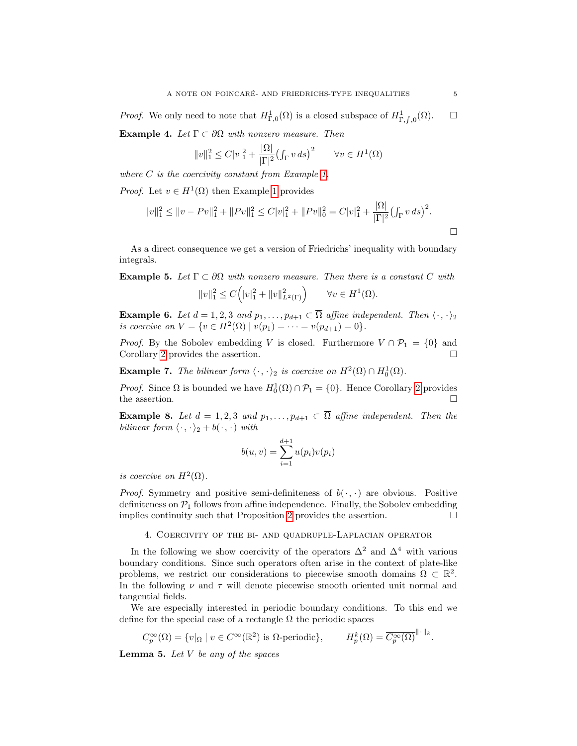*Proof.* We only need to note that  $H^1_{\Gamma,0}(\Omega)$  is a closed subspace of  $H^1_{\Gamma,f,0}(\Omega)$ .  $\Box$ **Example 4.** Let  $\Gamma \subset \partial \Omega$  with nonzero measure. Then

$$
||v||_1^2 \le C|v|_1^2 + \frac{|\Omega|}{|\Gamma|^2} \big(\int_{\Gamma} v \, ds\big)^2 \qquad \forall v \in H^1(\Omega)
$$

where  $C$  is the coercivity constant from Example [1.](#page-3-3)

*Proof.* Let  $v \in H^1(\Omega)$  then Example [1](#page-3-3) provides

$$
||v||_1^2 \le ||v - Pv||_1^2 + ||Pv||_1^2 \le C|v|_1^2 + ||Pv||_0^2 = C|v|_1^2 + \frac{|\Omega|}{|\Gamma|^2} (\int_{\Gamma} v ds)^2.
$$

As a direct consequence we get a version of Friedrichs' inequality with boundary integrals.

**Example 5.** Let  $\Gamma \subset \partial \Omega$  with nonzero measure. Then there is a constant C with

$$
||v||_1^2 \le C(|v|_1^2 + ||v||_{L^2(\Gamma)}^2) \qquad \forall v \in H^1(\Omega).
$$

**Example 6.** Let  $d = 1, 2, 3$  and  $p_1, \ldots, p_{d+1} \subset \overline{\Omega}$  affine independent. Then  $\langle \cdot, \cdot \rangle_2$ is coercive on  $V = \{v \in H^2(\Omega) \mid v(p_1) = \cdots = v(p_{d+1}) = 0\}.$ 

*Proof.* By the Sobolev embedding V is closed. Furthermore  $V \cap \mathcal{P}_1 = \{0\}$  and Corollary [2](#page-3-2) provides the assertion.

**Example 7.** The bilinear form  $\langle \cdot, \cdot \rangle_2$  is coercive on  $H^2(\Omega) \cap H^1_0(\Omega)$ .

*Proof.* Since  $\Omega$  is bounded we have  $H_0^1(\Omega) \cap \mathcal{P}_1 = \{0\}$ . Hence Corollary [2](#page-3-2) provides the assertion.  $\hfill \square$ 

**Example 8.** Let  $d = 1, 2, 3$  and  $p_1, \ldots, p_{d+1} \subset \overline{\Omega}$  affine independent. Then the bilinear form  $\langle \cdot, \cdot \rangle_2 + b(\cdot, \cdot)$  with

$$
b(u, v) = \sum_{i=1}^{d+1} u(p_i)v(p_i)
$$

is coercive on  $H^2(\Omega)$ .

*Proof.* Symmetry and positive semi-definiteness of  $b(\cdot, \cdot)$  are obvious. Positive definiteness on  $\mathcal{P}_1$  follows from affine independence. Finally, the Sobolev embedding implies continuity such that Proposition [2](#page-2-4) provides the assertion.  $\Box$ 

4. Coercivity of the bi- and quadruple-Laplacian operator

<span id="page-4-0"></span>In the following we show coercivity of the operators  $\Delta^2$  and  $\Delta^4$  with various boundary conditions. Since such operators often arise in the context of plate-like problems, we restrict our considerations to piecewise smooth domains  $\Omega \subset \mathbb{R}^2$ . In the following  $\nu$  and  $\tau$  will denote piecewise smooth oriented unit normal and tangential fields.

We are especially interested in periodic boundary conditions. To this end we define for the special case of a rectangle  $\Omega$  the periodic spaces

$$
C_p^{\infty}(\Omega) = \{v|_{\Omega} \mid v \in C^{\infty}(\mathbb{R}^2) \text{ is } \Omega \text{-periodic} \}, \qquad H_p^k(\Omega) = \overline{C_p^{\infty}(\Omega)}^{\|\cdot\|_k}.
$$

<span id="page-4-1"></span>**Lemma 5.** Let  $V$  be any of the spaces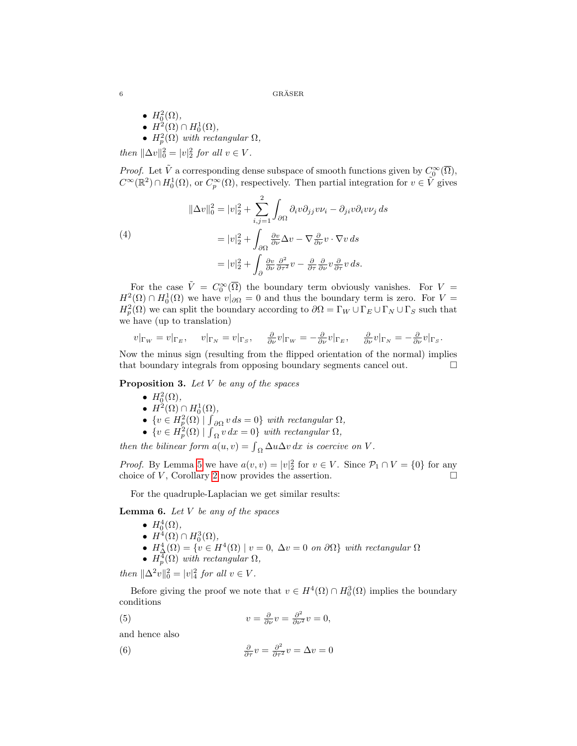$\text{{\bf GRÄSER}}\\$ 

•  $H_0^2(\Omega)$ , •  $H^2(\Omega) \cap H^1_0(\Omega)$ ,

•  $H_p^2(\Omega)$  with rectangular  $\Omega$ ,

then  $\|\Delta v\|_0^2 = |v|_2^2$  for all  $v \in V$ .

*Proof.* Let  $\tilde{V}$  a corresponding dense subspace of smooth functions given by  $C_0^{\infty}(\overline{\Omega})$ ,  $C^{\infty}(\mathbb{R}^2) \cap H_0^1(\Omega)$ , or  $C_p^{\infty}(\Omega)$ , respectively. Then partial integration for  $v \in \tilde{V}$  gives

<span id="page-5-1"></span>(4)  
\n
$$
\|\Delta v\|_0^2 = |v|_2^2 + \sum_{i,j=1}^2 \int_{\partial\Omega} \partial_i v \partial_{jj} v v_i - \partial_{ji} v \partial_i v v_j ds
$$
\n
$$
= |v|_2^2 + \int_{\partial\Omega} \frac{\partial v}{\partial \nu} \Delta v - \nabla \frac{\partial}{\partial \nu} v \cdot \nabla v ds
$$
\n
$$
= |v|_2^2 + \int_{\partial} \frac{\partial v}{\partial \nu} \frac{\partial^2}{\partial \tau^2} v - \frac{\partial}{\partial \tau} \frac{\partial}{\partial \nu} v \frac{\partial}{\partial \tau} v ds.
$$

For the case  $\tilde{V} = C_0^{\infty}(\overline{\Omega})$  the boundary term obviously vanishes. For  $V =$  $H^2(\Omega) \cap H_0^1(\Omega)$  we have  $v|_{\partial\Omega} = 0$  and thus the boundary term is zero. For  $V =$  $H_p^2(\Omega)$  we can split the boundary according to  $\partial\Omega = \Gamma_W \cup \Gamma_E \cup \Gamma_N \cup \Gamma_S$  such that we have (up to translation)

$$
v|_{\Gamma_W} = v|_{\Gamma_E}, \quad v|_{\Gamma_N} = v|_{\Gamma_S}, \quad \frac{\partial}{\partial \nu} v|_{\Gamma_W} = -\frac{\partial}{\partial \nu} v|_{\Gamma_E}, \quad \frac{\partial}{\partial \nu} v|_{\Gamma_N} = -\frac{\partial}{\partial \nu} v|_{\Gamma_S}.
$$

Now the minus sign (resulting from the flipped orientation of the normal) implies that boundary integrals from opposing boundary segments cancel out.

**Proposition 3.** Let  $V$  be any of the spaces

- $H_0^2(\Omega)$ ,
- $H^2(\Omega) \cap H_0^1(\Omega)$ ,
- $\{v \in H_p^2(\Omega) \mid \int_{\partial \Omega} v ds = 0\}$  with rectangular  $\Omega$ ,
- $\{v \in H_p^2(\Omega) \mid \int_{\Omega} v \, dx = 0\}$  with rectangular  $\Omega$ ,

then the bilinear form  $a(u, v) = \int_{\Omega} \Delta u \Delta v \, dx$  is coercive on V.

*Proof.* By Lemma [5](#page-4-1) we have  $a(v, v) = |v|_2^2$  for  $v \in V$ . Since  $\mathcal{P}_1 \cap V = \{0\}$  for any choice of  $V$ , Corollary [2](#page-3-2) now provides the assertion.

For the quadruple-Laplacian we get similar results:

<span id="page-5-3"></span>**Lemma 6.** Let  $V$  be any of the spaces

\n- $$
H_0^4(\Omega)
$$
,
\n- $H^4(\Omega) \cap H_0^3(\Omega)$ ,
\n

- $H^4_{\Delta}(\Omega) = \{v \in H^4(\Omega) \mid v = 0, \ \Delta v = 0 \text{ on } \partial\Omega\}$  with rectangular  $\Omega$
- $H_p^4(\Omega)$  with rectangular  $\Omega$ ,

then  $\|\Delta^2 v\|_0^2 = |v|_4^2$  for all  $v \in V$ .

Before giving the proof we note that  $v \in H^4(\Omega) \cap H_0^3(\Omega)$  implies the boundary conditions

<span id="page-5-0"></span>(5) 
$$
v = \frac{\partial}{\partial \nu} v = \frac{\partial^2}{\partial \nu^2} v = 0,
$$

and hence also

<span id="page-5-2"></span>(6) 
$$
\frac{\partial}{\partial \tau} v = \frac{\partial^2}{\partial \tau^2} v = \Delta v = 0
$$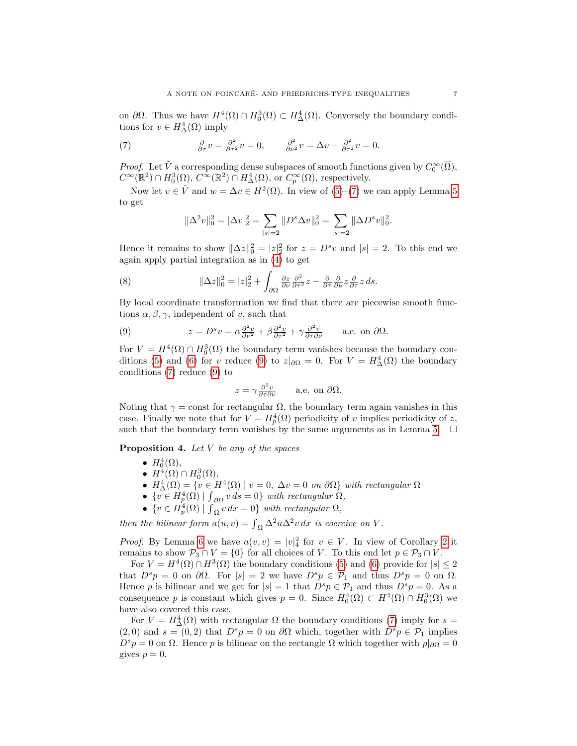on  $\partial\Omega$ . Thus we have  $H^4(\Omega) \cap H_0^3(\Omega) \subset H_\Delta^4(\Omega)$ . Conversely the boundary conditions for  $v \in H^4_\Delta(\Omega)$  imply

<span id="page-6-0"></span>(7) 
$$
\frac{\partial}{\partial \tau} v = \frac{\partial^2}{\partial \tau^2} v = 0, \qquad \frac{\partial^2}{\partial \nu^2} v = \Delta v - \frac{\partial^2}{\partial \tau^2} v = 0.
$$

*Proof.* Let  $\tilde{V}$  a corresponding dense subspaces of smooth functions given by  $C_0^{\infty}(\overline{\Omega})$ ,  $C^{\infty}(\mathbb{R}^2) \cap H_0^3(\Omega), C^{\infty}(\mathbb{R}^2) \cap H_\Delta^4(\Omega),$  or  $C_p^{\infty}(\Omega)$ , respectively.

Now let  $v \in \tilde{V}$  and  $w = \Delta v \in H^2(\Omega)$ . In view of  $(5)-(7)$  $(5)-(7)$  we can apply Lemma [5](#page-4-1) to get

$$
\|\Delta^2 v\|_0^2 = |\Delta v|_2^2 = \sum_{|s|=2} \|D^s \Delta v\|_0^2 = \sum_{|s|=2} \|\Delta D^s v\|_0^2.
$$

Hence it remains to show  $\|\Delta z\|_0^2 = |z|_2^2$  for  $z = D^s v$  and  $|s| = 2$ . To this end we again apply partial integration as in [\(4\)](#page-5-1) to get

(8) 
$$
\|\Delta z\|_0^2 = |z|_2^2 + \int_{\partial\Omega} \frac{\partial z}{\partial \nu} \frac{\partial^2}{\partial \tau^2} z - \frac{\partial}{\partial \tau} \frac{\partial}{\partial \nu} z \frac{\partial}{\partial \tau} z ds.
$$

By local coordinate transformation we find that there are piecewise smooth functions  $\alpha, \beta, \gamma$ , independent of v, such that

<span id="page-6-1"></span>(9) 
$$
z = D^s v = \alpha \frac{\partial^2 v}{\partial \nu^2} + \beta \frac{\partial^2 v}{\partial \tau^2} + \gamma \frac{\partial^2 v}{\partial \tau \partial \nu} \quad \text{a.e. on } \partial \Omega.
$$

For  $V = H^4(\Omega) \cap H_0^3(\Omega)$  the boundary term vanishes because the boundary con-ditions [\(5\)](#page-5-0) and [\(6\)](#page-5-2) for v reduce [\(9\)](#page-6-1) to  $z|_{\partial\Omega} = 0$ . For  $V = H^4_\Delta(\Omega)$  the boundary conditions [\(7\)](#page-6-0) reduce [\(9\)](#page-6-1) to

$$
z = \gamma \frac{\partial^2 v}{\partial \tau \partial \nu} \quad \text{a.e. on } \partial \Omega.
$$

Noting that  $\gamma = \text{const}$  for rectangular  $\Omega$ , the boundary term again vanishes in this case. Finally we note that for  $V = H_p^4(\Omega)$  periodicity of v implies periodicity of z, such that the boundary term vanishes by the same arguments as in Lemma [5.](#page-4-1)  $\Box$ 

**Proposition 4.** Let  $V$  be any of the spaces

•  $H_0^4(\Omega)$ ,

- $H^4(\Omega) \cap H_0^3(\Omega)$ ,
- $H^4_\Delta(\Omega) = \{ v \in H^4(\Omega) \mid v = 0, \ \Delta v = 0 \text{ on } \partial\Omega \}$  with rectangular  $\Omega$
- $\{v \in H_p^4(\Omega) \mid \int_{\partial \Omega} v ds = 0\}$  with rectangular  $\Omega$ ,
- $\{v \in H_p^4(\Omega) \mid \int_{\Omega} v \, dx = 0\}$  with rectangular  $\Omega$ ,

then the bilinear form  $a(u, v) = \int_{\Omega} \Delta^2 u \Delta^2 v \, dx$  is coercive on V.

*Proof.* By Lemma [6](#page-5-3) we have  $a(v, v) = |v|_4^2$  for  $v \in V$ . In view of Corollary [2](#page-3-2) it remains to show  $\mathcal{P}_3 \cap V = \{0\}$  for all choices of V. To this end let  $p \in \mathcal{P}_3 \cap V$ .

For  $V = H^4(\Omega) \cap H^3(\Omega)$  the boundary conditions [\(5\)](#page-5-0) and [\(6\)](#page-5-2) provide for  $|s| \leq 2$ that  $D^s p = 0$  on  $\partial \Omega$ . For  $|s| = 2$  we have  $D^s p \in \mathcal{P}_1$  and thus  $D^s p = 0$  on  $\Omega$ . Hence p is bilinear and we get for  $|s| = 1$  that  $D^s p \in \mathcal{P}_1$  and thus  $D^s p = 0$ . As a consequence p is constant which gives  $p = 0$ . Since  $H_0^4(\Omega) \subset H^4(\Omega) \cap H_0^3(\Omega)$  we have also covered this case.

For  $V = H^4_\Delta(\Omega)$  with rectangular  $\Omega$  the boundary conditions [\(7\)](#page-6-0) imply for  $s =$  $(2,0)$  and  $s = (0,2)$  that  $D^s p = 0$  on  $\partial\Omega$  which, together with  $D^s p \in \mathcal{P}_1$  implies  $D^s p = 0$  on  $\Omega$ . Hence p is bilinear on the rectangle  $\Omega$  which together with  $p|_{\partial\Omega} = 0$ gives  $p = 0$ .